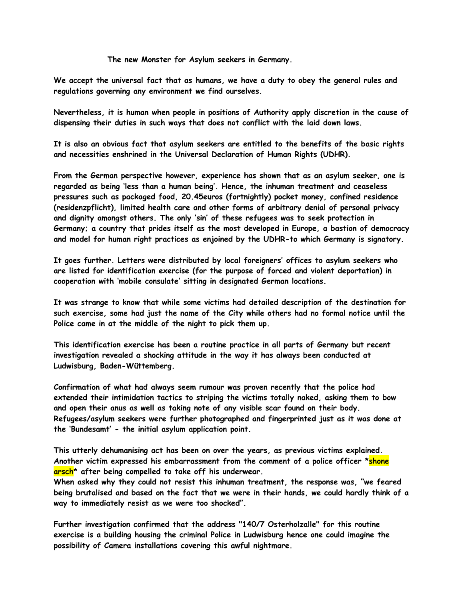**The new Monster for Asylum seekers in Germany.**

**We accept the universal fact that as humans, we have a duty to obey the general rules and regulations governing any environment we find ourselves.**

**Nevertheless, it is human when people in positions of Authority apply discretion in the cause of dispensing their duties in such ways that does not conflict with the laid down laws.**

**It is also an obvious fact that asylum seekers are entitled to the benefits of the basic rights and necessities enshrined in the Universal Declaration of Human Rights (UDHR).**

**From the German perspective however, experience has shown that as an asylum seeker, one is regarded as being 'less than a human being'. Hence, the inhuman treatment and ceaseless pressures such as packaged food, 20.45euros (fortnightly) pocket money, confined residence (residenzpflicht), limited health care and other forms of arbitrary denial of personal privacy and dignity amongst others. The only 'sin' of these refugees was to seek protection in Germany; a country that prides itself as the most developed in Europe, a bastion of democracy and model for human right practices as enjoined by the UDHR-to which Germany is signatory.**

**It goes further. Letters were distributed by local foreigners' offices to asylum seekers who are listed for identification exercise (for the purpose of forced and violent deportation) in cooperation with 'mobile consulate' sitting in designated German locations.** 

**It was strange to know that while some victims had detailed description of the destination for such exercise, some had just the name of the City while others had no formal notice until the Police came in at the middle of the night to pick them up.**

**This identification exercise has been a routine practice in all parts of Germany but recent investigation revealed a shocking attitude in the way it has always been conducted at Ludwisburg, Baden-Wüttemberg.**

**Confirmation of what had always seem rumour was proven recently that the police had extended their intimidation tactics to striping the victims totally naked, asking them to bow and open their anus as well as taking note of any visible scar found on their body. Refugees/asylum seekers were further photographed and fingerprinted just as it was done at the 'Bundesamt' - the initial asylum application point.**

**This utterly dehumanising act has been on over the years, as previous victims explained. Another victim expressed his embarrassment from the comment of a police officer \*shone arsch\* after being compelled to take off his underwear.**

**When asked why they could not resist this inhuman treatment, the response was, "we feared being brutalised and based on the fact that we were in their hands, we could hardly think of a way to immediately resist as we were too shocked".**

**Further investigation confirmed that the address "140/7 Osterholzalle" for this routine exercise is a building housing the criminal Police in Ludwisburg hence one could imagine the possibility of Camera installations covering this awful nightmare.**